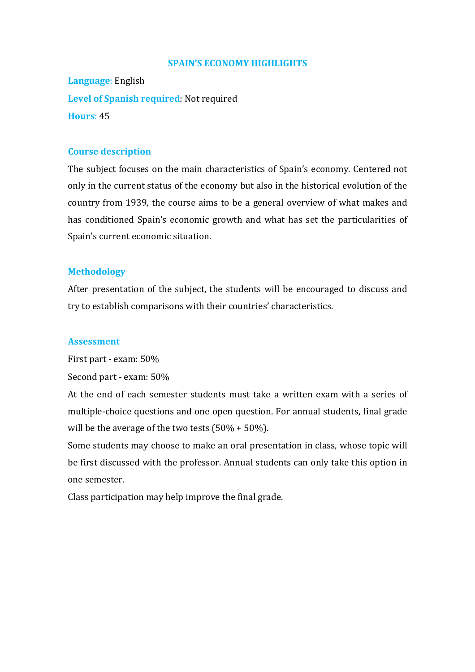#### **SPAIN'S ECONOMY HIGHLIGHTS**

**Language**: English **Level of Spanish required**: Not required **Hours**: 45

### **Course description**

The subject focuses on the main characteristics of Spain's economy. Centered not only in the current status of the economy but also in the historical evolution of the country from 1939, the course aims to be a general overview of what makes and has conditioned Spain's economic growth and what has set the particularities of Spain's current economic situation.

### **Methodology**

After presentation of the subject, the students will be encouraged to discuss and try to establish comparisons with their countries' characteristics.

### **Assessment**

First part - exam: 50%

Second part - exam: 50%

At the end of each semester students must take a written exam with a series of multiple-choice questions and one open question. For annual students, final grade will be the average of the two tests  $(50\% + 50\%)$ .

Some students may choose to make an oral presentation in class, whose topic will be first discussed with the professor. Annual students can only take this option in one semester.

Class participation may help improve the final grade.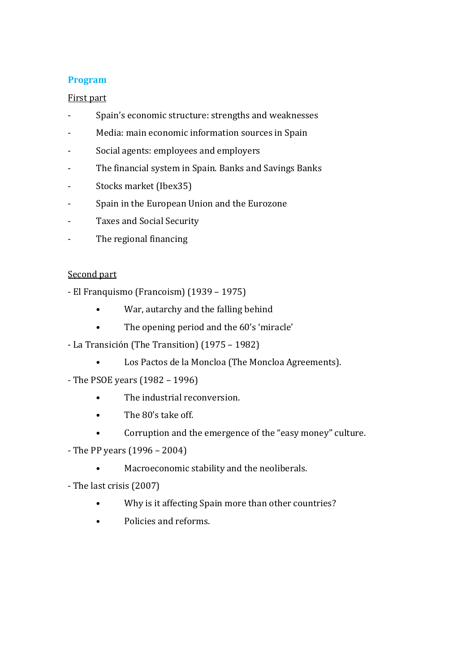# **Program**

# First part

- Spain's economic structure: strengths and weaknesses
- Media: main economic information sources in Spain
- Social agents: employees and employers
- The financial system in Spain. Banks and Savings Banks
- Stocks market (Ibex35)
- Spain in the European Union and the Eurozone
- Taxes and Social Security
- The regional financing

### Second part

- El Franquismo (Francoism) (1939 1975)
	- War, autarchy and the falling behind
	- The opening period and the 60's 'miracle'
- La Transición (The Transition) (1975 1982)
	- Los Pactos de la Moncloa (The Moncloa Agreements).
- The PSOE years (1982 1996)
	- The industrial reconversion.
	- The 80's take off.
	- Corruption and the emergence of the "easy money" culture.
- The PP years (1996 2004)
	- Macroeconomic stability and the neoliberals.
- The last crisis (2007)
	- Why is it affecting Spain more than other countries?
	- Policies and reforms.